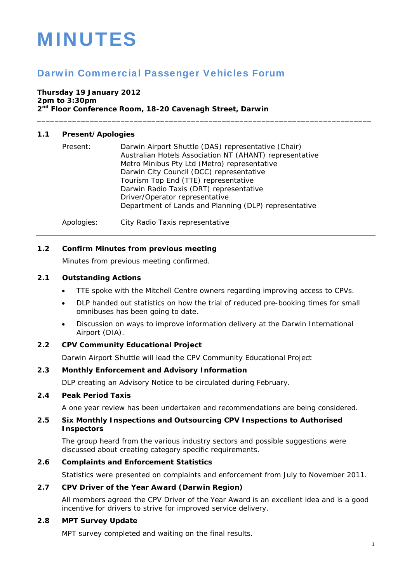# MINUTES

# Darwin Commercial Passenger Vehicles Forum

# **Thursday 19 January 2012**

**2pm to 3:30pm 2nd Floor Conference Room, 18-20 Cavenagh Street, Darwin** 

# **1.1 Present/Apologies**

| Present: | Darwin Airport Shuttle (DAS) representative (Chair)     |
|----------|---------------------------------------------------------|
|          | Australian Hotels Association NT (AHANT) representative |
|          | Metro Minibus Pty Ltd (Metro) representative            |
|          | Darwin City Council (DCC) representative                |
|          | Tourism Top End (TTE) representative                    |
|          | Darwin Radio Taxis (DRT) representative                 |
|          | Driver/Operator representative                          |
|          | Department of Lands and Planning (DLP) representative   |
|          |                                                         |

\_\_\_\_\_\_\_\_\_\_\_\_\_\_\_\_\_\_\_\_\_\_\_\_\_\_\_\_\_\_\_\_\_\_\_\_\_\_\_\_\_\_\_\_\_\_\_\_\_\_\_\_\_\_\_\_\_\_\_\_\_\_\_\_\_\_\_\_\_\_\_\_\_\_\_\_

Apologies: City Radio Taxis representative

# **1.2 Confirm Minutes from previous meeting**

Minutes from previous meeting confirmed.

#### **2.1 Outstanding Actions**

- TTE spoke with the Mitchell Centre owners regarding improving access to CPVs.
- DLP handed out statistics on how the trial of reduced pre-booking times for small omnibuses has been going to date.
- Discussion on ways to improve information delivery at the Darwin International Airport (DIA).

#### **2.2 CPV Community Educational Project**

Darwin Airport Shuttle will lead the CPV Community Educational Project

#### **2.3 Monthly Enforcement and Advisory Information**

DLP creating an Advisory Notice to be circulated during February.

# **2.4 Peak Period Taxis**

A one year review has been undertaken and recommendations are being considered.

# **2.5 Six Monthly Inspections and Outsourcing CPV Inspections to Authorised Inspectors**

The group heard from the various industry sectors and possible suggestions were discussed about creating category specific requirements.

#### **2.6 Complaints and Enforcement Statistics**

Statistics were presented on complaints and enforcement from July to November 2011.

#### **2.7 CPV Driver of the Year Award (Darwin Region)**

All members agreed the CPV Driver of the Year Award is an excellent idea and is a good incentive for drivers to strive for improved service delivery.

#### **2.8 MPT Survey Update**

MPT survey completed and waiting on the final results.